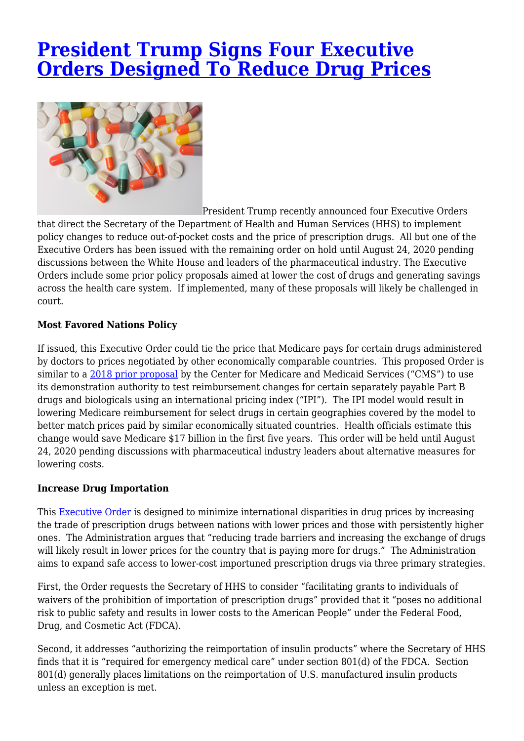# **[President Trump Signs Four Executive](https://www.lifesciencesperspectives.com/2020/08/18/president-trump-signs-four-executive-orders-designed-to-reduce-drug-prices/) [Orders Designed To Reduce Drug Prices](https://www.lifesciencesperspectives.com/2020/08/18/president-trump-signs-four-executive-orders-designed-to-reduce-drug-prices/)**



President Trump recently announced four Executive Orders

that direct the Secretary of the Department of Health and Human Services (HHS) to implement policy changes to reduce out-of-pocket costs and the price of prescription drugs. All but one of the Executive Orders has been issued with the remaining order on hold until August 24, 2020 pending discussions between the White House and leaders of the pharmaceutical industry. The Executive Orders include some prior policy proposals aimed at lower the cost of drugs and generating savings across the health care system. If implemented, many of these proposals will likely be challenged in court.

## **Most Favored Nations Policy**

If issued, this Executive Order could tie the price that Medicare pays for certain drugs administered by doctors to prices negotiated by other economically comparable countries. This proposed Order is similar to a [2018 prior proposal](https://www.federalregister.gov/documents/2018/10/30/2018-23688/medicare-program-international-pricing-index-model-for-medicare-part-b-drugs) by the Center for Medicare and Medicaid Services ("CMS") to use its demonstration authority to test reimbursement changes for certain separately payable Part B drugs and biologicals using an international pricing index ("IPI"). The IPI model would result in lowering Medicare reimbursement for select drugs in certain geographies covered by the model to better match prices paid by similar economically situated countries. Health officials estimate this change would save Medicare \$17 billion in the first five years. This order will be held until August 24, 2020 pending discussions with pharmaceutical industry leaders about alternative measures for lowering costs.

## **Increase Drug Importation**

This **Executive Order** is designed to minimize international disparities in drug prices by increasing the trade of prescription drugs between nations with lower prices and those with persistently higher ones. The Administration argues that "reducing trade barriers and increasing the exchange of drugs will likely result in lower prices for the country that is paying more for drugs." The Administration aims to expand safe access to lower-cost importuned prescription drugs via three primary strategies.

First, the Order requests the Secretary of HHS to consider "facilitating grants to individuals of waivers of the prohibition of importation of prescription drugs" provided that it "poses no additional risk to public safety and results in lower costs to the American People" under the Federal Food, Drug, and Cosmetic Act (FDCA).

Second, it addresses "authorizing the reimportation of insulin products" where the Secretary of HHS finds that it is "required for emergency medical care" under section 801(d) of the FDCA. Section 801(d) generally places limitations on the reimportation of U.S. manufactured insulin products unless an exception is met.